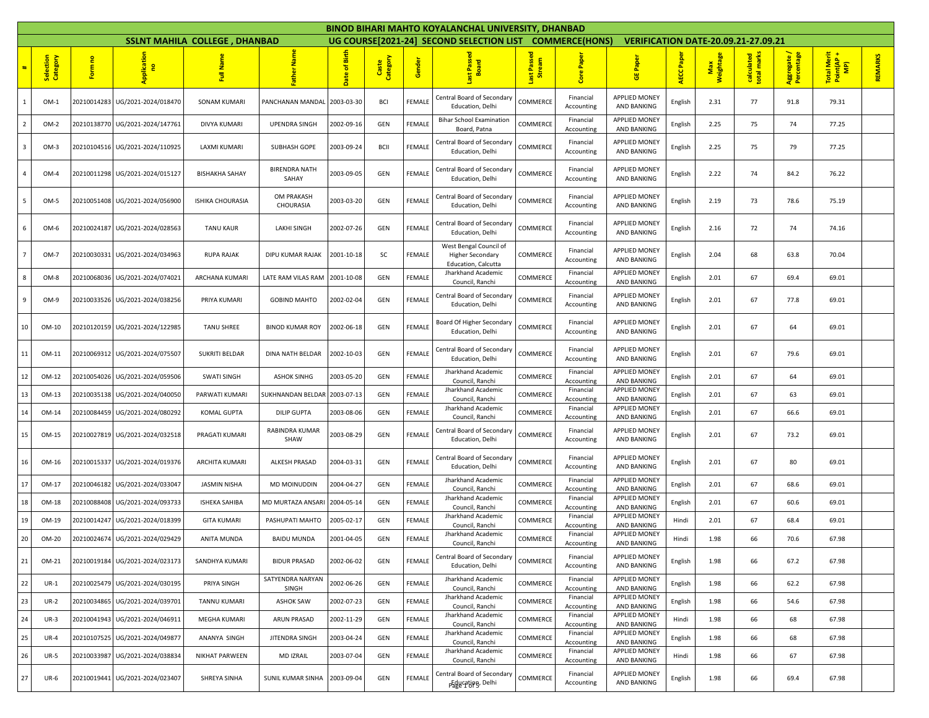|                         |                       |             |                                 |                                      |                                |               |                   |               | <b>BINOD BIHARI MAHTO KOYALANCHAL UNIVERSITY, DHANBAD</b>                |                       |                         |                                            |            |                  |                           |                           |                                |         |
|-------------------------|-----------------------|-------------|---------------------------------|--------------------------------------|--------------------------------|---------------|-------------------|---------------|--------------------------------------------------------------------------|-----------------------|-------------------------|--------------------------------------------|------------|------------------|---------------------------|---------------------------|--------------------------------|---------|
|                         |                       |             |                                 | <b>SSLNT MAHILA COLLEGE, DHANBAD</b> |                                |               |                   |               | UG COURSE [2021-24] SECOND SELECTION LIST COMMERCE (HONS)                |                       |                         | <b>VERIFICATION DATE-20.09.21-27.09.21</b> |            |                  |                           |                           |                                |         |
|                         | Selection<br>Category | Form no     | Leaf<br><b>P</b><br><b>App</b>  | Name<br>ā                            | <b>P</b>                       | Date of Birth | Caste<br>Category | Gender        | st Pass<br>Board                                                         | .ast Passed<br>Stream | Core Paper              | <b>GE Paper</b>                            | AECC Paper | Max<br>Weightage | calculated<br>total marks | Aggregate /<br>Percentage | Total Meri<br>Point (AP<br>MP) | REMARKS |
|                         | OM-1                  |             | 20210014283 UG/2021-2024/018470 | <b>SONAM KUMARI</b>                  | PANCHANAN MANDAL 2003-03-30    |               | <b>BCI</b>        | FEMALE        | Central Board of Secondary<br>Education, Delhi                           | COMMERCE              | Financial<br>Accounting | APPLIED MONEY<br><b>AND BANKING</b>        | English    | 2.31             | 77                        | 91.8                      | 79.31                          |         |
| $\overline{2}$          | OM-2                  |             | 20210138770 UG/2021-2024/147761 | <b>DIVYA KUMARI</b>                  | <b>UPENDRA SINGH</b>           | 2002-09-16    | GEN               | FEMALE        | <b>Bihar School Examination</b><br>Board, Patna                          | COMMERCE              | Financial<br>Accounting | APPLIED MONEY<br>AND BANKING               | English    | 2.25             | 75                        | 74                        | 77.25                          |         |
| $\overline{\mathbf{3}}$ | $OM-3$                |             | 20210104516 UG/2021-2024/110925 | <b>LAXMI KUMARI</b>                  | SUBHASH GOPE                   | 2003-09-24    | <b>BCII</b>       | <b>FEMALE</b> | Central Board of Secondary<br>Education, Delhi                           | COMMERCE              | Financial<br>Accounting | <b>APPLIED MONEY</b><br>AND BANKING        | English    | 2.25             | 75                        | 79                        | 77.25                          |         |
| $\overline{4}$          | OM-4                  |             | 20210011298 UG/2021-2024/015127 | <b>BISHAKHA SAHAY</b>                | <b>BIRENDRA NATH</b><br>SAHAY  | 2003-09-05    | GEN               | FEMALE        | Central Board of Secondary<br>Education, Delhi                           | COMMERCE              | Financial<br>Accounting | APPLIED MONEY<br>AND BANKING               | English    | 2.22             | 74                        | 84.2                      | 76.22                          |         |
| 5                       | OM-5                  |             | 20210051408 UG/2021-2024/056900 | <b>ISHIKA CHOURASIA</b>              | <b>OM PRAKASH</b><br>CHOURASIA | 2003-03-20    | GEN               | FEMALE        | Central Board of Secondary<br>Education, Delhi                           | COMMERCE              | Financial<br>Accounting | <b>APPLIED MONEY</b><br>AND BANKING        | English    | 2.19             | 73                        | 78.6                      | 75.19                          |         |
| - 6                     | OM-6                  |             | 20210024187 UG/2021-2024/028563 | <b>TANU KAUR</b>                     | <b>LAKHI SINGH</b>             | 2002-07-26    | GEN               | FEMALE        | Central Board of Secondary<br>Education, Delhi                           | COMMERCE              | Financial<br>Accounting | APPLIED MONEY<br>AND BANKING               | English    | 2.16             | 72                        | 74                        | 74.16                          |         |
|                         | OM-7                  |             | 20210030331 UG/2021-2024/034963 | <b>RUPA RAJAK</b>                    | <b>DIPU KUMAR RAJAK</b>        | 2001-10-18    | sc                | FEMALE        | West Bengal Council of<br><b>Higher Secondary</b><br>Education, Calcutta | COMMERCE              | Financial<br>Accounting | APPLIED MONEY<br>AND BANKING               | English    | 2.04             | 68                        | 63.8                      | 70.04                          |         |
| 8                       | OM-8                  |             | 20210068036 UG/2021-2024/074021 | ARCHANA KUMARI                       | LATE RAM VILAS RAM             | 2001-10-08    | GEN               | FEMALE        | Jharkhand Academic<br>Council, Ranchi                                    | COMMERCE              | Financial<br>Accounting | APPLIED MONEY<br>AND BANKING               | English    | 2.01             | 67                        | 69.4                      | 69.01                          |         |
| 9                       | OM-9                  |             | 20210033526 UG/2021-2024/038256 | PRIYA KUMARI                         | <b>GOBIND MAHTO</b>            | 2002-02-04    | GEN               | FEMALE        | Central Board of Secondary<br>Education, Delhi                           | COMMERCE              | Financial<br>Accounting | <b>APPLIED MONEY</b><br>AND BANKING        | English    | 2.01             | 67                        | 77.8                      | 69.01                          |         |
| 10                      | OM-10                 |             | 20210120159 UG/2021-2024/122985 | <b>TANU SHREE</b>                    | <b>BINOD KUMAR ROY</b>         | 2002-06-18    | GEN               | FEMALE        | Board Of Higher Secondary<br>Education, Delhi                            | COMMERCE              | Financial<br>Accounting | APPLIED MONEY<br><b>AND BANKING</b>        | English    | 2.01             | 67                        | 64                        | 69.01                          |         |
| 11                      | OM-11                 |             | 20210069312 UG/2021-2024/075507 | <b>SUKRITI BELDAR</b>                | <b>DINA NATH BELDAR</b>        | 2002-10-03    | GEN               | FEMALE        | Central Board of Secondary<br>Education, Delhi                           | COMMERCE              | Financial<br>Accounting | <b>APPLIED MONEY</b><br>AND BANKING        | English    | 2.01             | 67                        | 79.6                      | 69.01                          |         |
| 12                      | OM-12                 |             | 20210054026 UG/2021-2024/059506 | <b>SWATI SINGH</b>                   | <b>ASHOK SINHG</b>             | 2003-05-20    | GEN               | FEMALE        | Jharkhand Academic<br>Council, Ranchi                                    | COMMERCE              | Financial<br>Accounting | <b>APPLIED MONEY</b><br>AND BANKING        | English    | 2.01             | 67                        | 64                        | 69.01                          |         |
| 13                      | OM-13                 | 20210035138 | UG/2021-2024/040050             | PARWATI KUMARI                       | SUKHNANDAN BELDAR              | 2003-07-13    | GEN               | FEMALE        | Jharkhand Academic<br>Council, Ranchi                                    | COMMERCE              | Financial<br>Accounting | <b>APPLIED MONEY</b><br>AND BANKING        | English    | 2.01             | 67                        | 63                        | 69.01                          |         |
| 14                      | OM-14                 | 20210084459 | UG/2021-2024/080292             | <b>KOMAL GUPTA</b>                   | <b>DILIP GUPTA</b>             | 2003-08-06    | GEN               | FEMALE        | Jharkhand Academic<br>Council, Ranchi                                    | COMMERCE              | Financial<br>Accounting | APPLIED MONEY<br>AND BANKING               | English    | 2.01             | 67                        | 66.6                      | 69.01                          |         |
| 15                      | OM-15                 |             | 20210027819 UG/2021-2024/032518 | PRAGATI KUMARI                       | RABINDRA KUMAR<br>SHAW         | 2003-08-29    | GEN               | FEMALE        | Central Board of Secondary<br>Education, Delhi                           | COMMERCE              | Financial<br>Accounting | <b>APPLIED MONEY</b><br>AND BANKING        | English    | 2.01             | 67                        | 73.2                      | 69.01                          |         |
| 16                      | OM-16                 |             | 20210015337 UG/2021-2024/019376 | ARCHITA KUMARI                       | <b>ALKESH PRASAD</b>           | 2004-03-31    | GEN               | FEMALE        | Central Board of Secondary<br>Education, Delhi                           | COMMERCE              | Financial<br>Accounting | APPLIED MONEY<br>AND BANKING               | English    | 2.01             | 67                        | 80                        | 69.01                          |         |
| 17                      | OM-17                 | 20210046182 | UG/2021-2024/033047             | <b>JASMIN NISHA</b>                  | MD MOINUDDIN                   | 2004-04-27    | GEN               | FEMALE        | Jharkhand Academic<br>Council, Ranchi                                    | COMMERCE              | Financial<br>Accounting | APPLIED MONEY<br>AND BANKING               | English    | 2.01             | 67                        | 68.6                      | 69.01                          |         |
| 18                      | OM-18                 | 20210088408 | UG/2021-2024/093733             | <b>ISHEKA SAHIBA</b>                 | MD MURTAZA ANSARI              | 2004-05-14    | GEN               | FEMALE        | Jharkhand Academic<br>Council, Ranchi                                    | COMMERCE              | Financial<br>Accounting | APPLIED MONEY<br>AND BANKING               | English    | 2.01             | 67                        | 60.6                      | 69.01                          |         |
| 19                      | OM-19                 | 20210014247 | UG/2021-2024/018399             | <b>GITA KUMARI</b>                   | PASHUPATI MAHTO                | 2005-02-17    | GEN               | FEMALE        | Jharkhand Academic<br>Council, Ranchi                                    | COMMERCE              | Financial<br>Accounting | <b>APPLIED MONEY</b><br>AND BANKING        | Hindi      | 2.01             | 67                        | 68.4                      | 69.01                          |         |
| 20                      | OM-20                 |             | 20210024674 UG/2021-2024/029429 | ANITA MUNDA                          | <b>BAIDU MUNDA</b>             | 2001-04-05    | GEN               | FEMALE        | Jharkhand Academic<br>Council, Ranchi                                    | COMMERCE              | Financial<br>Accounting | <b>APPLIED MONEY</b><br>AND BANKING        | Hindi      | 1.98             | 66                        | 70.6                      | 67.98                          |         |
| 21                      | OM-21                 |             | 20210019184 UG/2021-2024/023173 | SANDHYA KUMARI                       | <b>BIDUR PRASAD</b>            | 2002-06-02    | GEN               | FEMALE        | Central Board of Secondary<br>Education, Delhi                           | COMMERCE              | Financial<br>Accounting | <b>APPLIED MONEY</b><br>AND BANKING        | English    | 1.98             | 66                        | 67.2                      | 67.98                          |         |
| 22                      | $UR-1$                | 20210025479 | UG/2021-2024/030195             | PRIYA SINGH                          | SATYENDRA NARYAN<br>SINGH      | 2002-06-26    | GEN               | FEMALE        | Jharkhand Academic<br>Council, Ranchi                                    | COMMERCE              | Financial<br>Accounting | <b>APPLIED MONEY</b><br>AND BANKING        | English    | 1.98             | 66                        | 62.2                      | 67.98                          |         |
| 23                      | $UR-2$                |             | 20210034865 UG/2021-2024/039701 | <b>TANNU KUMARI</b>                  | <b>ASHOK SAW</b>               | 2002-07-23    | GEN               | FEMALE        | Jharkhand Academic<br>Council, Ranchi                                    | COMMERCE              | Financial<br>Accounting | <b>APPLIED MONEY</b><br>AND BANKING        | English    | 1.98             | 66                        | 54.6                      | 67.98                          |         |
| 24                      | $UR-3$                |             | 20210041943 UG/2021-2024/046911 | <b>MEGHA KUMARI</b>                  | <b>ARUN PRASAD</b>             | 2002-11-29    | GEN               | FEMALE        | Jharkhand Academic<br>Council, Ranchi                                    | COMMERCE              | Financial<br>Accounting | APPLIED MONEY<br>AND BANKING               | Hindi      | 1.98             | 66                        | 68                        | 67.98                          |         |
| 25                      | $UR-4$                |             | 20210107525 UG/2021-2024/049877 | ANANYA SINGH                         | JITENDRA SINGH                 | 2003-04-24    | GEN               | FEMALE        | Jharkhand Academic<br>Council, Ranchi                                    | COMMERCE              | Financial<br>Accounting | <b>APPLIED MONEY</b><br>AND BANKING        | English    | 1.98             | 66                        | 68                        | 67.98                          |         |
| 26                      | $UR-5$                | 20210033987 | UG/2021-2024/038834             | <b>NIKHAT PARWEEN</b>                | MD IZRAIL                      | 2003-07-04    | GEN               | FEMALE        | Jharkhand Academic<br>Council. Ranchi                                    | COMMERCE              | Financial<br>Accounting | APPLIED MONEY<br>AND BANKING               | Hindi      | 1.98             | 66                        | 67                        | 67.98                          |         |
| 27                      | <b>UR-6</b>           |             | 20210019441 UG/2021-2024/023407 | SHREYA SINHA                         | SUNIL KUMAR SINHA              | 2003-09-04    | GEN               | FEMALE        | Central Board of Secondary<br>pEducation, Delhi                          | COMMERCE              | Financial<br>Accounting | APPLIED MONEY<br>AND BANKING               | English    | 1.98             | 66                        | 69.4                      | 67.98                          |         |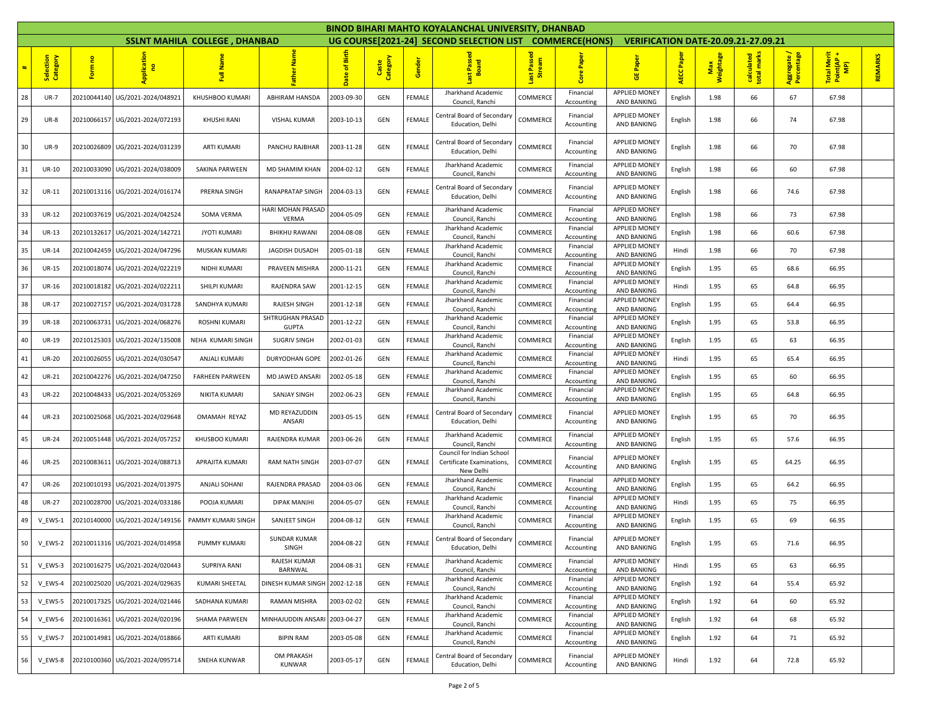|    |                       |                    |                                         |                                      |                                   |               |                   |               | <b>BINOD BIHARI MAHTO KOYALANCHAL UNIVERSITY, DHANBAD</b>          |                       |                                      |                                                             |           |                  |                           |                           |                                  |                |
|----|-----------------------|--------------------|-----------------------------------------|--------------------------------------|-----------------------------------|---------------|-------------------|---------------|--------------------------------------------------------------------|-----------------------|--------------------------------------|-------------------------------------------------------------|-----------|------------------|---------------------------|---------------------------|----------------------------------|----------------|
|    |                       |                    |                                         | <b>SSLNT MAHILA COLLEGE, DHANBAD</b> |                                   |               |                   |               | UG COURSE [2021-24] SECOND SELECTION LIST COMMERCE (HONS)          |                       |                                      | <b>VERIFICATION DATE-20.09.21-27.09.21</b>                  |           |                  |                           |                           |                                  |                |
|    | Selection<br>Category | <b>P</b><br>Ε<br>훈 | Applicat<br>no                          | 훋<br>ā                               | Name                              | Date of Birth | Caste<br>Category | Gender        | <b>Pass</b><br>еñ                                                  | Last Passed<br>Stream | Core Paper                           | <b>GE Paper</b>                                             | AECC Pape | Max<br>Weightage | calculated<br>total marks | Aggregate /<br>Percentage | Total Merit<br>Point(AP +<br>MP) | <b>REMARKS</b> |
| 28 | <b>UR-7</b>           | 20210044140        | UG/2021-2024/048921                     | KHUSHBOO KUMARI                      | ABHIRAM HANSDA                    | 2003-09-30    | GEN               | FEMALE        | Jharkhand Academic<br>Council, Ranchi                              | COMMERCE              | Financial<br>Accounting              | <b>APPLIED MONEY</b><br>AND BANKING                         | English   | 1.98             | 66                        | 67                        | 67.98                            |                |
| 29 | <b>UR-8</b>           | 20210066157        | UG/2021-2024/072193                     | KHUSHI RANI                          | <b>VISHAL KUMAR</b>               | 2003-10-13    | GEN               | FEMALE        | Central Board of Secondary<br>Education, Delhi                     | COMMERCE              | Financial<br>Accounting              | <b>APPLIED MONEY</b><br>AND BANKING                         | English   | 1.98             | 66                        | 74                        | 67.98                            |                |
| 30 | <b>UR-9</b>           |                    | 20210026809 UG/2021-2024/031239         | <b>ARTI KUMARI</b>                   | PANCHU RAJBHAR                    | 2003-11-28    | GEN               | FEMALE        | Central Board of Secondary<br>Education, Delhi                     | COMMERCE              | Financial<br>Accounting              | <b>APPLIED MONEY</b><br>AND BANKING                         | English   | 1.98             | 66                        | 70                        | 67.98                            |                |
| 31 | UR-10                 |                    | 20210033090 UG/2021-2024/038009         | SAKINA PARWEEN                       | MD SHAMIM KHAN                    | 2004-02-12    | GEN               | FEMALE        | Jharkhand Academic<br>Council, Ranchi                              | COMMERCE              | Financial<br>Accounting              | <b>APPLIED MONEY</b><br>AND BANKING                         | English   | 1.98             | 66                        | 60                        | 67.98                            |                |
| 32 | UR-11                 |                    | 20210013116 UG/2021-2024/016174         | PRERNA SINGH                         | <b>RANAPRATAP SINGH</b>           | 2004-03-13    | GEN               | FEMALE        | Central Board of Secondary<br>Education, Delhi                     | COMMERCE              | Financial<br>Accounting              | <b>APPLIED MONEY</b><br>AND BANKING                         | English   | 1.98             | 66                        | 74.6                      | 67.98                            |                |
| 33 | UR-12                 |                    | 20210037619 UG/2021-2024/042524         | <b>SOMA VERMA</b>                    | HARI MOHAN PRASAD<br><b>VERMA</b> | 2004-05-09    | GEN               | FEMALE        | Jharkhand Academic<br>Council, Ranchi                              | COMMERCE              | Financial<br>Accounting              | <b>APPLIED MONEY</b><br><b>AND BANKING</b>                  | English   | 1.98             | 66                        | 73                        | 67.98                            |                |
| 34 | <b>UR-13</b>          | 20210132617        | UG/2021-2024/142721                     | <b>JYOTI KUMARI</b>                  | <b>BHIKHU RAWANI</b>              | 2004-08-08    | GEN               | FEMALE        | Jharkhand Academic<br>Council, Ranchi                              | COMMERCE              | Financial<br>Accounting              | <b>APPLIED MONEY</b><br>AND BANKING                         | English   | 1.98             | 66                        | 60.6                      | 67.98                            |                |
| 35 | <b>UR-14</b>          | 20210042459        | UG/2021-2024/047296                     | MUSKAN KUMARI                        | <b>JAGDISH DUSADH</b>             | 2005-01-18    | GEN               | FEMALE        | Jharkhand Academic<br>Council, Ranchi                              | COMMERCE              | Financial<br>Accounting              | APPLIED MONEY<br>AND BANKING                                | Hindi     | 1.98             | 66                        | 70                        | 67.98                            |                |
| 36 | <b>UR-15</b>          | 20210018074        | UG/2021-2024/022219                     | NIDHI KUMARI                         | PRAVEEN MISHRA                    | 2000-11-21    | GEN               | FEMALE        | Jharkhand Academic<br>Council, Ranchi                              | COMMERCE              | Financial<br>Accounting              | <b>APPLIED MONEY</b><br>AND BANKING                         | English   | 1.95             | 65                        | 68.6                      | 66.95                            |                |
| 37 | <b>UR-16</b>          | 20210018182        | UG/2021-2024/022211                     | SHILPI KUMARI                        | RAJENDRA SAW                      | 2001-12-15    | GEN               | FEMALE        | Jharkhand Academic<br>Council, Ranchi                              | COMMERCE              | Financial<br>Accounting              | <b>APPLIED MONEY</b><br>AND BANKING                         | Hindi     | 1.95             | 65                        | 64.8                      | 66.95                            |                |
| 38 | <b>UR-17</b>          | 20210027157        | UG/2021-2024/031728                     | SANDHYA KUMARI                       | RAJESH SINGH                      | 2001-12-18    | GEN               | FEMALE        | Jharkhand Academic<br>Council, Ranchi                              | COMMERCE              | Financial<br>Accounting              | APPLIED MONEY<br>AND BANKING                                | English   | 1.95             | 65                        | 64.4                      | 66.95                            |                |
| 39 | <b>UR-18</b>          | 20210063731        | UG/2021-2024/068276                     | ROSHNI KUMARI                        | SHTRUGHAN PRASAD<br><b>GUPTA</b>  | 2001-12-22    | GEN               | FEMALE        | Jharkhand Academic<br>Council, Ranchi                              | COMMERCE              | Financial<br>Accounting              | <b>APPLIED MONEY</b><br>AND BANKING                         | English   | 1.95             | 65                        | 53.8                      | 66.95                            |                |
| 40 | <b>UR-19</b>          | 20210125303        | UG/2021-2024/135008                     | NEHA KUMARI SINGH                    | <b>SUGRIV SINGH</b>               | 2002-01-03    | GEN               | FEMALE        | Jharkhand Academic<br>Council, Ranchi                              | COMMERCE              | Financial<br>Accounting              | <b>APPLIED MONEY</b><br><b>AND BANKING</b>                  | English   | 1.95             | 65                        | 63                        | 66.95                            |                |
| 41 | <b>UR-20</b>          | 20210026055        | UG/2021-2024/030547                     | <b>ANJALI KUMARI</b>                 | <b>DURYODHAN GOPE</b>             | 2002-01-26    | GEN               | FEMALE        | Jharkhand Academic<br>Council, Ranchi<br>Jharkhand Academic        | COMMERCE              | Financial<br>Accounting<br>Financial | <b>APPLIED MONEY</b><br>AND BANKING<br><b>APPLIED MONEY</b> | Hindi     | 1.95             | 65                        | 65.4                      | 66.95                            |                |
| 42 | <b>UR-21</b>          | 20210042276        | UG/2021-2024/047250                     | <b>FARHEEN PARWEEN</b>               | MD JAWED ANSARI                   | 2002-05-18    | GEN               | FEMALE        | Council, Ranchi<br>Jharkhand Academic                              | COMMERCE              | Accounting<br>Financial              | AND BANKING<br><b>APPLIED MONEY</b>                         | English   | 1.95             | 65                        | 60                        | 66.95                            |                |
| 43 | <b>UR-22</b>          | 20210048433        | UG/2021-2024/053269                     | NIKITA KUMARI                        | <b>SANJAY SINGH</b>               | 2002-06-23    | GEN               | FEMALE        | Council, Ranchi                                                    | COMMERCE              | Accounting                           | AND BANKING                                                 | English   | 1.95             | 65                        | 64.8                      | 66.95                            |                |
| 44 | <b>UR-23</b>          |                    | 20210025068 UG/2021-2024/029648         | OMAMAH REYAZ                         | MD REYAZUDDIN<br>ANSARI           | 2003-05-15    | GEN               | FEMALE        | Central Board of Secondary<br>Education, Delhi                     | COMMERCE              | Financial<br>Accounting              | <b>APPLIED MONEY</b><br>AND BANKING                         | English   | 1.95             | 65                        | 70                        | 66.95                            |                |
| 45 | <b>UR-24</b>          | 20210051448        | UG/2021-2024/057252                     | KHUSBOO KUMARI                       | RAJENDRA KUMAR                    | 2003-06-26    | GEN               | FEMALE        | Jharkhand Academic<br>Council, Ranchi<br>Council for Indian School | COMMERCE              | Financial<br>Accounting              | <b>APPLIED MONEY</b><br>AND BANKING                         | English   | 1.95             | 65                        | 57.6                      | 66.95                            |                |
| 46 | <b>UR-25</b>          |                    | 20210083611 UG/2021-2024/088713         | APRAJITA KUMARI                      | <b>RAM NATH SINGH</b>             | 2003-07-07    | GEN               | FEMALE        | Certificate Examinations,<br>New Delhi                             | COMMERCE              | Financial<br>Accounting              | <b>APPLIED MONEY</b><br>AND BANKING                         | English   | 1.95             | 65                        | 64.25                     | 66.95                            |                |
| 47 | <b>UR-26</b>          | 20210010193        | UG/2021-2024/013975                     | <b>ANJALI SOHANI</b>                 | RAJENDRA PRASAD                   | 2004-03-06    | GEN               | FEMALE        | Jharkhand Academic<br>Council, Ranchi                              | COMMERCE              | Financial<br>Accounting              | <b>APPLIED MONEY</b><br>AND BANKING                         | English   | 1.95             | 65                        | 64.2                      | 66.95                            |                |
| 48 | <b>UR-27</b>          | 20210028700        | UG/2021-2024/033186                     | POOJA KUMARI                         | <b>DIPAK MANJHI</b>               | 2004-05-07    | GEN               | FEMALE        | Jharkhand Academic<br>Council, Ranchi                              | COMMERCE              | Financial<br>Accounting              | APPLIED MONEY<br><b>AND BANKING</b>                         | Hindi     | 1.95             | 65                        | 75                        | 66.95                            |                |
| 49 | V_EWS-1               | 20210140000        | UG/2021-2024/149156                     | PAMMY KUMARI SINGH                   | SANJEET SINGH                     | 2004-08-12    | GEN               | FEMALE        | Jharkhand Academic<br>Council, Ranchi                              | COMMERCE              | Financial<br>Accounting              | <b>APPLIED MONEY</b><br>AND BANKING                         | English   | 1.95             | 65                        | 69                        | 66.95                            |                |
| 50 |                       |                    | V EWS-2 20210011316 UG/2021-2024/014958 | <b>PUMMY KUMARI</b>                  | <b>SUNDAR KUMAR</b><br>SINGH      | 2004-08-22    | GEN               | <b>FEMALE</b> | Central Board of Secondary<br>Education, Delhi                     | COMMERCE              | Financial<br>Accounting              | <b>APPLIED MONEY</b><br>AND BANKING                         | English   | 1.95             | 65                        | 71.6                      | 66.95                            |                |
| 51 | V_EWS-3               | 20210016275        | UG/2021-2024/020443                     | <b>SUPRIYA RANI</b>                  | RAJESH KUMAR<br><b>BARNWAL</b>    | 2004-08-31    | GEN               | FEMALE        | Jharkhand Academic<br>Council, Ranchi                              | COMMERCE              | Financial<br>Accounting              | APPLIED MONEY<br>AND BANKING                                | Hindi     | 1.95             | 65                        | 63                        | 66.95                            |                |
| 52 | V EWS-4               | 20210025020        | UG/2021-2024/029635                     | KUMARI SHEETAL                       | DINESH KUMAR SINGH                | 2002-12-18    | GEN               | FEMALE        | Jharkhand Academic<br>Council, Ranchi                              | COMMERCE              | Financial<br>Accounting              | <b>APPLIED MONEY</b><br>AND BANKING                         | English   | 1.92             | 64                        | 55.4                      | 65.92                            |                |
| 53 | V EWS-5               | 20210017325        | UG/2021-2024/021446                     | SADHANA KUMARI                       | RAMAN MISHRA                      | 2003-02-02    | GEN               | FEMALE        | Jharkhand Academic<br>Council. Ranchi                              | COMMERCE              | Financial<br>Accounting              | <b>APPLIED MONEY</b><br>AND BANKING                         | English   | 1.92             | 64                        | 60                        | 65.92                            |                |
| 54 | V EWS-6               | 20210016361        | UG/2021-2024/020196                     | <b>SHAMA PARWEEN</b>                 | MINHAJUDDIN ANSARI                | 2003-04-27    | GEN               | FEMALE        | Jharkhand Academic<br>Council, Ranchi                              | COMMERCE              | Financial<br>Accounting              | <b>APPLIED MONEY</b><br>AND BANKING                         | English   | 1.92             | 64                        | 68                        | 65.92                            |                |
| 55 | V_EWS-7               | 20210014981        | UG/2021-2024/018866                     | <b>ARTI KUMARI</b>                   | <b>BIPIN RAM</b>                  | 2003-05-08    | GEN               | FEMALE        | Jharkhand Academic<br>Council, Ranchi                              | COMMERCE              | Financial<br>Accounting              | <b>APPLIED MONEY</b><br>AND BANKING                         | English   | 1.92             | 64                        | 71                        | 65.92                            |                |
| 56 | V EWS-8               |                    | 20210100360 UG/2021-2024/095714         | <b>SNEHA KUNWAR</b>                  | OM PRAKASH<br>KUNWAR              | 2003-05-17    | GEN               | FEMALE        | Central Board of Secondary<br>Education, Delhi                     | COMMERCE              | Financial<br>Accounting              | APPLIED MONEY<br>AND BANKING                                | Hindi     | 1.92             | 64                        | 72.8                      | 65.92                            |                |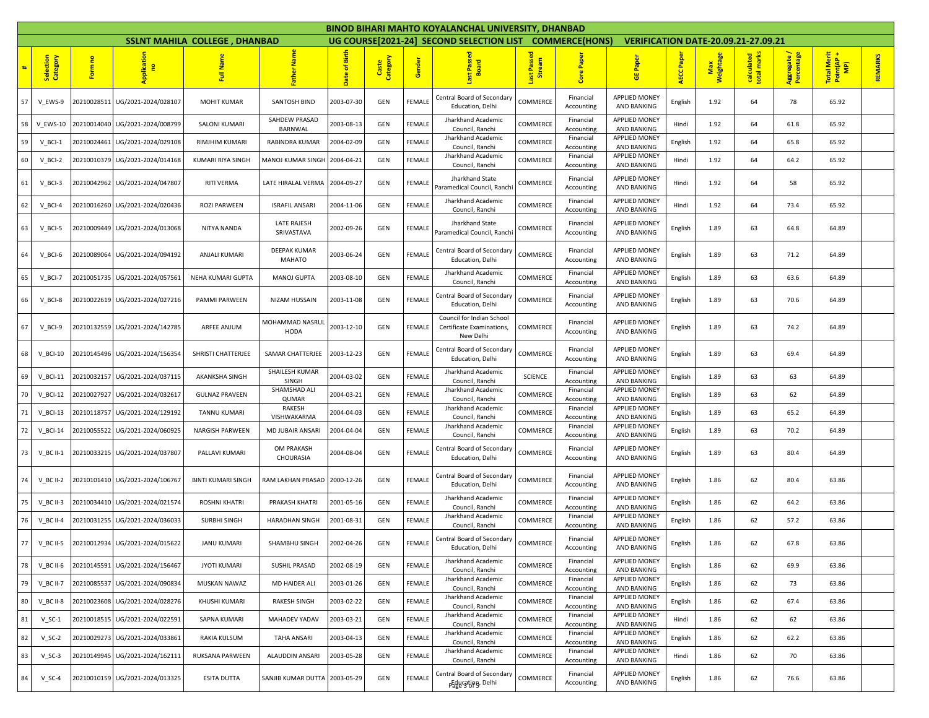|                                |                       |             |                                           |                               |                                      |               |                   |               | <b>BINOD BIHARI MAHTO KOYALANCHAL UNIVERSITY, DHANBAD</b>           |                       |                         |                                            |                   |                  |                           |                           |                                 |         |
|--------------------------------|-----------------------|-------------|-------------------------------------------|-------------------------------|--------------------------------------|---------------|-------------------|---------------|---------------------------------------------------------------------|-----------------------|-------------------------|--------------------------------------------|-------------------|------------------|---------------------------|---------------------------|---------------------------------|---------|
|                                |                       |             |                                           | SSLNT MAHILA COLLEGE, DHANBAD |                                      |               |                   |               | UG COURSE[2021-24] SECOND SELECTION LIST COMMERCE(HONS)             |                       |                         | <b>VERIFICATION DATE-20.09.21-27.09.21</b> |                   |                  |                           |                           |                                 |         |
| $\textcolor{blue}{\textbf{+}}$ | Selection<br>Category | Form no     | licati<br>$\epsilon$                      | Name<br>ã                     | Name<br>ather                        | Date of Birth | Caste<br>Category | Gender        | st Passe<br>Board                                                   | Last Passed<br>Stream | Core Paper              | GE Paper                                   | <b>AECC Paper</b> | Max<br>Weightage | calculated<br>total marks | Aggregate /<br>Percentage | Total Meri<br>Point(AP +<br>MP) | REMARKS |
| 57                             | V EWS-9               | 20210028511 | UG/2021-2024/028107                       | <b>MOHIT KUMAR</b>            | SANTOSH BIND                         | 2003-07-30    | GEN               | FEMALE        | Central Board of Secondary<br>Education, Delhi                      | COMMERCE              | Financial<br>Accounting | <b>APPLIED MONEY</b><br><b>AND BANKING</b> | English           | 1.92             | 64                        | 78                        | 65.92                           |         |
| 58                             | V_EWS-10              | 20210014040 | UG/2021-2024/008799                       | SALONI KUMARI                 | SAHDEW PRASAD<br>BARNWAL             | 2003-08-13    | GEN               | FEMALE        | Jharkhand Academic<br>Council, Ranchi                               | COMMERCE              | Financial<br>Accounting | <b>APPLIED MONEY</b><br><b>AND BANKING</b> | Hindi             | 1.92             | 64                        | 61.8                      | 65.92                           |         |
| 59                             | $V$ BCI-1             | 20210024461 | UG/2021-2024/029108                       | RIMJHIM KUMARI                | RABINDRA KUMAR                       | 2004-02-09    | GEN               | FEMALE        | Jharkhand Academic<br>Council, Ranchi                               | COMMERCE              | Financial<br>Accounting | <b>APPLIED MONEY</b><br><b>AND BANKING</b> | English           | 1.92             | 64                        | 65.8                      | 65.92                           |         |
| 60                             | V_BCI-2               | 20210010379 | UG/2021-2024/014168                       | <b>KUMARI RIYA SINGH</b>      | MANOJ KUMAR SINGH                    | 2004-04-21    | GEN               | FEMALE        | Jharkhand Academic<br>Council, Ranchi                               | COMMERCE              | Financial<br>Accounting | <b>APPLIED MONEY</b><br>AND BANKING        | Hindi             | 1.92             | 64                        | 64.2                      | 65.92                           |         |
| 61                             | V BCI-3               | 20210042962 | UG/2021-2024/047807                       | <b>RITI VERMA</b>             | LATE HIRALAL VERMA                   | 2004-09-27    | GEN               | FEMALE        | Jharkhand State<br>Paramedical Council, Ranchi                      | COMMERCE              | Financial<br>Accounting | <b>APPLIED MONEY</b><br>AND BANKING        | Hindi             | 1.92             | 64                        | 58                        | 65.92                           |         |
| 62                             | V_BCI-4               | 20210016260 | UG/2021-2024/020436                       | ROZI PARWEEN                  | <b>ISRAFIL ANSARI</b>                | 2004-11-06    | GEN               | FEMALE        | Jharkhand Academic<br>Council, Ranchi                               | COMMERCE              | Financial<br>Accounting | <b>APPLIED MONEY</b><br>AND BANKING        | Hindi             | 1.92             | 64                        | 73.4                      | 65.92                           |         |
| 63                             | V_BCI-5               |             | 20210009449 UG/2021-2024/013068           | NITYA NANDA                   | LATE RAJESH<br>SRIVASTAVA            | 2002-09-26    | GEN               | FEMALE        | Jharkhand State<br>Paramedical Council, Ranchi                      | COMMERCE              | Financial<br>Accounting | <b>APPLIED MONEY</b><br>AND BANKING        | English           | 1.89             | 63                        | 64.8                      | 64.89                           |         |
| 64                             | V_BCI-6               | 20210089064 | UG/2021-2024/094192                       | <b>ANJALI KUMARI</b>          | <b>DEEPAK KUMAR</b><br><b>MAHATO</b> | 2003-06-24    | GEN               | FEMALE        | Central Board of Secondary<br>Education, Delhi                      | COMMERCE              | Financial<br>Accounting | <b>APPLIED MONEY</b><br><b>AND BANKING</b> | English           | 1.89             | 63                        | 71.2                      | 64.89                           |         |
| 65                             | V_BCI-7               | 20210051735 | UG/2021-2024/057561                       | NEHA KUMARI GUPTA             | <b>MANOJ GUPTA</b>                   | 2003-08-10    | GEN               | FEMALE        | Jharkhand Academic<br>Council, Ranchi                               | COMMERCE              | Financial<br>Accounting | APPLIED MONEY<br>AND BANKING               | English           | 1.89             | 63                        | 63.6                      | 64.89                           |         |
| 66                             | V_BCI-8               | 20210022619 | UG/2021-2024/027216                       | PAMMI PARWEEN                 | NIZAM HUSSAIN                        | 2003-11-08    | GEN               | FEMALE        | Central Board of Secondary<br>Education. Delhi                      | COMMERCE              | Financial<br>Accounting | <b>APPLIED MONEY</b><br>AND BANKING        | English           | 1.89             | 63                        | 70.6                      | 64.89                           |         |
| 67                             | V_BCI-9               |             | 20210132559 UG/2021-2024/142785           | ARFEE ANJUM                   | MOHAMMAD NASRUL<br><b>HODA</b>       | 2003-12-10    | GEN               | <b>FEMALE</b> | Council for Indian School<br>Certificate Examinations,<br>New Delhi | COMMERCE              | Financial<br>Accounting | <b>APPLIED MONEY</b><br><b>AND BANKING</b> | English           | 1.89             | 63                        | 74.2                      | 64.89                           |         |
| 68                             | $V$ BCI-10            | 20210145496 | UG/2021-2024/156354                       | <b>SHRISTI CHATTERJEE</b>     | SAMAR CHATTERJEE                     | 2003-12-23    | GEN               | FEMALE        | Central Board of Secondary<br>Education, Delhi                      | COMMERCE              | Financial<br>Accounting | <b>APPLIED MONEY</b><br>AND BANKING        | English           | 1.89             | 63                        | 69.4                      | 64.89                           |         |
| 69                             | $V$ BCI-11            | 20210032157 | UG/2021-2024/037115                       | AKANKSHA SINGH                | SHAILESH KUMAR<br>SINGH              | 2004-03-02    | GEN               | FEMALE        | Jharkhand Academic<br>Council, Ranchi                               | <b>SCIENCE</b>        | Financial<br>Accounting | <b>APPLIED MONEY</b><br>AND BANKING        | English           | 1.89             | 63                        | 63                        | 64.89                           |         |
| 70                             | $V$ BCI-12            | 20210027927 | UG/2021-2024/032617                       | <b>GULNAZ PRAVEEN</b>         | SHAMSHAD ALI<br>QUMAR                | 2004-03-21    | GEN               | FEMALE        | Jharkhand Academic<br>Council, Ranchi                               | COMMERCE              | Financial<br>Accounting | <b>APPLIED MONEY</b><br>AND BANKING        | English           | 1.89             | 63                        | 62                        | 64.89                           |         |
| 71                             | $V$ BCI-13            | 20210118757 | UG/2021-2024/129192                       | TANNU KUMARI                  | RAKESH<br>VISHWAKARMA                | 2004-04-03    | GEN               | FEMALE        | Jharkhand Academic<br>Council, Ranchi                               | COMMERCE              | Financial<br>Accounting | <b>APPLIED MONEY</b><br>AND BANKING        | English           | 1.89             | 63                        | 65.2                      | 64.89                           |         |
| 72                             | $V$ BCI-14            | 20210055522 | UG/2021-2024/060925                       | <b>NARGISH PARWEEN</b>        | MD JUBAIR ANSARI                     | 2004-04-04    | GEN               | FEMALE        | Jharkhand Academic<br>Council, Ranchi                               | COMMERCE              | Financial<br>Accounting | <b>APPLIED MONEY</b><br>AND BANKING        | English           | 1.89             | 63                        | 70.2                      | 64.89                           |         |
| 73                             | $V$ BC II-1           |             | 20210033215 UG/2021-2024/037807           | PALLAVI KUMARI                | OM PRAKASH<br>CHOURASIA              | 2004-08-04    | GEN               | FEMALE        | Central Board of Secondary<br>Education, Delhi                      | COMMERCE              | Financial<br>Accounting | <b>APPLIED MONEY</b><br>AND BANKING        | English           | 1.89             | 63                        | 80.4                      | 64.89                           |         |
| 74                             | $V$ BC II-2           | 20210101410 | UG/2021-2024/106767                       | <b>BINTI KUMARI SINGH</b>     | RAM LAKHAN PRASAD                    | 2000-12-26    | GEN               | FEMALE        | Central Board of Secondary<br>Education, Delhi                      | COMMERCE              | Financial<br>Accounting | <b>APPLIED MONEY</b><br><b>AND BANKING</b> | English           | 1.86             | 62                        | 80.4                      | 63.86                           |         |
| 75                             | $V$ BC II-3           | 20210034410 | UG/2021-2024/021574                       | <b>ROSHNI KHATRI</b>          | PRAKASH KHATRI                       | 2001-05-16    | GEN               | FEMALE        | Jharkhand Academic<br>Council, Ranchi                               | COMMERCE              | Financial<br>Accounting | <b>APPLIED MONEY</b><br><b>AND BANKING</b> | English           | 1.86             | 62                        | 64.2                      | 63.86                           |         |
| 76                             | V_BC II-4             | 20210031255 | UG/2021-2024/036033                       | <b>SURBHI SINGH</b>           | HARADHAN SINGH                       | 2001-08-31    | GEN               | FEMALE        | Jharkhand Academic<br>Council, Ranchi                               | COMMERCE              | Financial<br>Accounting | <b>APPLIED MONEY</b><br>AND BANKING        | English           | 1.86             | 62                        | 57.2                      | 63.86                           |         |
| 77                             |                       |             | V_BC II-5 20210012934 UG/2021-2024/015622 | <b>JANU KUMARI</b>            | SHAMBHU SINGH                        | 2002-04-26    | GEN               | <b>FEMALE</b> | Central Board of Secondary COMMERCE<br>Education, Delhi             |                       | Financial<br>Accounting | <b>APPLIED MONEY</b><br>AND BANKING        | English           | 1.86             | 62                        | 67.8                      | 63.86                           |         |
| 78                             | V_BC II-6             | 20210145591 | UG/2021-2024/156467                       | <b>JYOTI KUMARI</b>           | <b>SUSHIL PRASAD</b>                 | 2002-08-19    | GEN               | FEMALE        | Jharkhand Academic<br>Council, Ranchi                               | COMMERCE              | Financial<br>Accounting | APPLIED MONEY<br>AND BANKING               | English           | 1.86             | 62                        | 69.9                      | 63.86                           |         |
| 79                             | V_BC II-7             | 20210085537 | UG/2021-2024/090834                       | <b>MUSKAN NAWAZ</b>           | MD HAIDER ALI                        | 2003-01-26    | GEN               | FEMALE        | Jharkhand Academic<br>Council, Ranchi                               | COMMERCE              | Financial<br>Accounting | <b>APPLIED MONEY</b><br>AND BANKING        | English           | 1.86             | 62                        | 73                        | 63.86                           |         |
| 80                             | V BC II-8             | 20210023608 | UG/2021-2024/028276                       | KHUSHI KUMARI                 | <b>RAKESH SINGH</b>                  | 2003-02-22    | GEN               | FEMALE        | Jharkhand Academic<br>Council, Ranchi                               | COMMERCE              | Financial<br>Accounting | <b>APPLIED MONEY</b><br>AND BANKING        | English           | 1.86             | 62                        | 67.4                      | 63.86                           |         |
| 81                             | $V_S$ C-1             | 20210018515 | UG/2021-2024/022591                       | SAPNA KUMARI                  | MAHADEV YADAV                        | 2003-03-21    | GEN               | FEMALE        | Jharkhand Academic<br>Council. Ranchi                               | COMMERCE              | Financial<br>Accounting | <b>APPLIED MONEY</b><br>AND BANKING        | Hindi             | 1.86             | 62                        | 62                        | 63.86                           |         |
| 82                             | $V_SC-2$              | 20210029273 | UG/2021-2024/033861                       | RAKIA KULSUM                  | TAHA ANSARI                          | 2003-04-13    | GEN               | FEMALE        | Jharkhand Academic<br>Council, Ranchi                               | COMMERCE              | Financial<br>Accounting | APPLIED MONEY<br>AND BANKING               | English           | 1.86             | 62                        | 62.2                      | 63.86                           |         |
| 83                             | $V_SC-3$              | 20210149945 | UG/2021-2024/162111                       | RUKSANA PARWEEN               | ALAUDDIN ANSARI                      | 2003-05-28    | GEN               | FEMALE        | Jharkhand Academic<br>Council, Ranchi                               | COMMERCE              | Financial<br>Accounting | <b>APPLIED MONEY</b><br>AND BANKING        | Hindi             | 1.86             | 62                        | 70                        | 63.86                           |         |
| 84                             | $V_SC-4$              |             | 20210010159 UG/2021-2024/013325           | <b>ESITA DUTTA</b>            | SANJIB KUMAR DUTTA 2003-05-29        |               | GEN               | FEMALE        | Central Board of Secondary<br>pEducation, Delhi                     | COMMERCE              | Financial<br>Accounting | <b>APPLIED MONEY</b><br>AND BANKING        | English           | 1.86             | 62                        | 76.6                      | 63.86                           |         |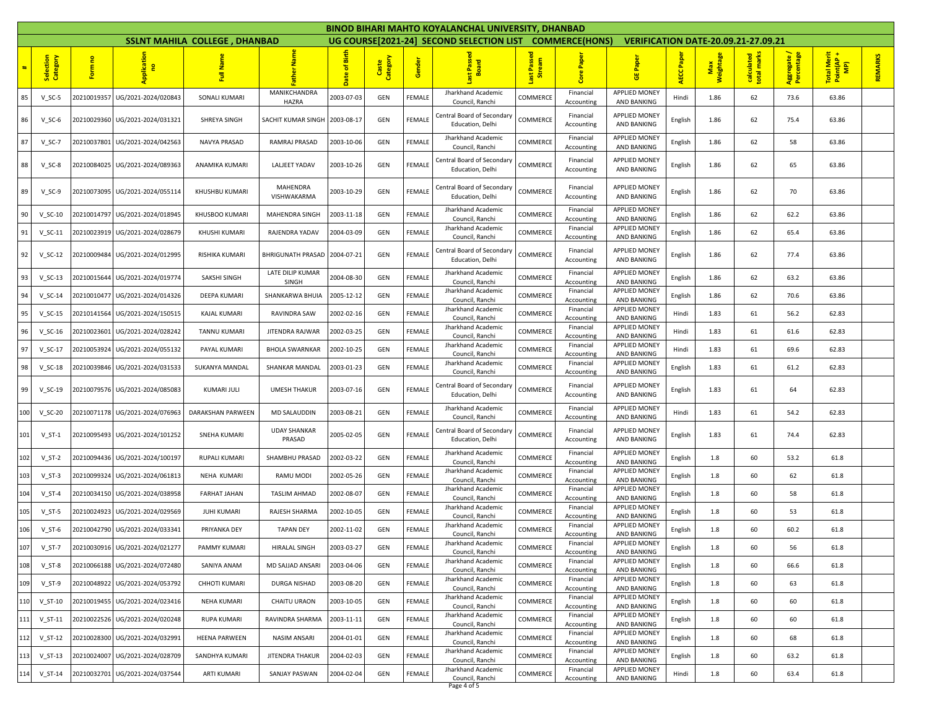|     |                       |             |                                   |                                      |                               |                               |                   |        | <b>BINOD BIHARI MAHTO KOYALANCHAL UNIVERSITY, DHANBAD</b>   |                                |                                      |                                                             |                   |                  |                           |                           |                                  |         |
|-----|-----------------------|-------------|-----------------------------------|--------------------------------------|-------------------------------|-------------------------------|-------------------|--------|-------------------------------------------------------------|--------------------------------|--------------------------------------|-------------------------------------------------------------|-------------------|------------------|---------------------------|---------------------------|----------------------------------|---------|
|     |                       |             |                                   | <b>SSLNT MAHILA COLLEGE, DHANBAD</b> |                               |                               |                   |        | UG COURSE [2021-24] SECOND SELECTION LIST COMMERCE (HONS)   |                                |                                      | <b>VERIFICATION DATE-20.09.21-27.09.21</b>                  |                   |                  |                           |                           |                                  |         |
| #   | Selection<br>Category | Form no     | <u>licat</u><br>$\mathbf{e}$<br>đ | Name<br>큹                            | 욷<br>ather                    | of Birth<br>Date <sup>1</sup> | Caste<br>Category | Gender | st Pass<br>Board                                            | Passed<br>ream<br><u>ន</u> ៃ ឆ | Core Paper                           | <b>GE Paper</b>                                             | <b>AECC Paper</b> | Max<br>Weightage | calculated<br>total marks | Aggregate /<br>Percentage | Total Merit<br>Point(AP +<br>MP) | REMARKS |
| 85  | $V$ SC-5              | 20210019357 | UG/2021-2024/020843               | <b>SONALI KUMARI</b>                 | MANIKCHANDRA<br><b>HAZRA</b>  | 2003-07-03                    | GEN               | FEMALE | Jharkhand Academic<br>Council, Ranchi                       | COMMERCE                       | Financial<br>Accounting              | <b>APPLIED MONEY</b><br>AND BANKING                         | Hindi             | 1.86             | 62                        | 73.6                      | 63.86                            |         |
| 86  | $V$ SC-6              | 20210029360 | UG/2021-2024/031321               | SHREYA SINGH                         | SACHIT KUMAR SINGH            | 2003-08-17                    | GEN               | FEMALE | Central Board of Secondary<br>Education, Delhi              | COMMERCE                       | Financial<br>Accounting              | <b>APPLIED MONEY</b><br>AND BANKING                         | English           | 1.86             | 62                        | 75.4                      | 63.86                            |         |
| 87  | $V_SC-7$              | 20210037801 | UG/2021-2024/042563               | NAVYA PRASAD                         | RAMRAJ PRASAD                 | 2003-10-06                    | GEN               | FEMALE | Jharkhand Academic<br>Council, Ranchi                       | COMMERCE                       | Financial<br>Accounting              | APPLIED MONEY<br>AND BANKING                                | English           | 1.86             | 62                        | 58                        | 63.86                            |         |
| 88  | $V$ SC-8              |             | 20210084025 UG/2021-2024/089363   | <b>ANAMIKA KUMARI</b>                | <b>LALJEET YADAV</b>          | 2003-10-26                    | GEN               | FEMALE | Central Board of Secondary<br>Education, Delhi              | COMMERCE                       | Financial<br>Accounting              | <b>APPLIED MONEY</b><br><b>AND BANKING</b>                  | English           | 1.86             | 62                        | 65                        | 63.86                            |         |
| 89  | $V$ SC-9              | 20210073095 | UG/2021-2024/055114               | KHUSHBU KUMARI                       | MAHENDRA<br>VISHWAKARMA       | 2003-10-29                    | GEN               | FEMALE | Central Board of Secondary<br>Education, Delhi              | COMMERCE                       | Financial<br>Accounting              | <b>APPLIED MONEY</b><br>AND BANKING                         | English           | 1.86             | 62                        | 70                        | 63.86                            |         |
| 90  | $V$ SC-10             | 20210014797 | UG/2021-2024/018945               | KHUSBOO KUMARI                       | MAHENDRA SINGH                | 2003-11-18                    | GEN               | FEMALE | Jharkhand Academic<br>Council, Ranchi                       | COMMERCE                       | Financial<br>Accounting              | <b>APPLIED MONEY</b><br>AND BANKING                         | English           | 1.86             | 62                        | 62.2                      | 63.86                            |         |
| 91  | $V_S$ C-11            | 20210023919 | UG/2021-2024/028679               | <b>KHUSHI KUMARI</b>                 | RAJENDRA YADAV                | 2004-03-09                    | GEN               | FEMALE | Jharkhand Academic<br>Council, Ranchi                       | COMMERCE                       | Financial<br>Accounting              | APPLIED MONEY<br>AND BANKING                                | English           | 1.86             | 62                        | 65.4                      | 63.86                            |         |
| 92  | $V$ SC-12             | 20210009484 | UG/2021-2024/012995               | RISHIKA KUMARI                       | <b>BHRIGUNATH PRASAD</b>      | 2004-07-21                    | GEN               | FEMALE | Central Board of Secondary<br>Education, Delhi              | COMMERCE                       | Financial<br>Accounting              | <b>APPLIED MONEY</b><br>AND BANKING                         | English           | 1.86             | 62                        | 77.4                      | 63.86                            |         |
| 93  | $V_SC-13$             | 20210015644 | UG/2021-2024/019774               | SAKSHI SINGH                         | LATE DILIP KUMAR<br>SINGH     | 2004-08-30                    | GEN               | FEMALE | Jharkhand Academic<br>Council, Ranchi                       | COMMERCE                       | Financial<br>Accounting              | <b>APPLIED MONEY</b><br><b>AND BANKING</b>                  | English           | 1.86             | 62                        | 63.2                      | 63.86                            |         |
| 94  | $V$ SC-14             | 20210010477 | UG/2021-2024/014326               | <b>DEEPA KUMARI</b>                  | SHANKARWA BHUIA               | 2005-12-12                    | GEN               | FEMALE | Jharkhand Academic<br>Council, Ranchi<br>Jharkhand Academic | COMMERCE                       | Financial<br>Accounting<br>Financial | <b>APPLIED MONEY</b><br>AND BANKING<br>APPLIED MONEY        | English           | 1.86             | 62                        | 70.6                      | 63.86                            |         |
| 95  | $V_S$ C-15            | 20210141564 | UG/2021-2024/150515               | KAJAL KUMARI                         | <b>RAVINDRA SAW</b>           | 2002-02-16                    | GEN               | FEMALE | Council, Ranchi                                             | COMMERCE                       | Accounting                           | AND BANKING                                                 | Hindi             | 1.83             | 61                        | 56.2                      | 62.83                            |         |
| 96  | $V_SC-16$             | 20210023601 | UG/2021-2024/028242               | <b>TANNU KUMARI</b>                  | JITENDRA RAJWAR               | 2002-03-25                    | GEN               | FEMALE | Jharkhand Academic<br>Council, Ranchi                       | COMMERCE                       | Financial<br>Accounting              | <b>APPLIED MONEY</b><br>AND BANKING                         | Hindi             | 1.83             | 61                        | 61.6                      | 62.83                            |         |
| 97  | $V_SC-17$             | 20210053924 | UG/2021-2024/055132               | PAYAL KUMARI                         | <b>BHOLA SWARNKAR</b>         | 2002-10-25                    | GEN               | FEMALE | Jharkhand Academic<br>Council, Ranchi                       | COMMERCE                       | Financial<br>Accounting              | <b>APPLIED MONEY</b><br>AND BANKING                         | Hindi             | 1.83             | 61                        | 69.6                      | 62.83                            |         |
| 98  | $V_SC-18$             | 20210039846 | UG/2021-2024/031533               | SUKANYA MANDAL                       | SHANKAR MANDAL                | 2003-01-23                    | GEN               | FEMALE | Jharkhand Academic<br>Council, Ranchi                       | COMMERCE                       | Financial<br>Accounting              | <b>APPLIED MONEY</b><br>AND BANKING                         | English           | 1.83             | 61                        | 61.2                      | 62.83                            |         |
| 99  | $V$ SC-19             |             | 20210079576 UG/2021-2024/085083   | KUMARI JULI                          | <b>UMESH THAKUR</b>           | 2003-07-16                    | GEN               | FEMALE | Central Board of Secondary<br>Education, Delhi              | COMMERCE                       | Financial<br>Accounting              | <b>APPLIED MONEY</b><br><b>AND BANKING</b>                  | English           | 1.83             | 61                        | 64                        | 62.83                            |         |
| 100 | $V_SC-20$             | 20210071178 | UG/2021-2024/076963               | DARAKSHAN PARWEEN                    | <b>MD SALAUDDIN</b>           | 2003-08-21                    | GEN               | FEMALE | Jharkhand Academic<br>Council, Ranchi                       | COMMERCE                       | Financial<br>Accounting              | <b>APPLIED MONEY</b><br>AND BANKING                         | Hindi             | 1.83             | 61                        | 54.2                      | 62.83                            |         |
| 101 | $V$ ST-1              | 20210095493 | UG/2021-2024/101252               | <b>SNEHA KUMARI</b>                  | <b>UDAY SHANKAR</b><br>PRASAD | 2005-02-05                    | GEN               | FEMALE | Central Board of Secondary<br>Education, Delhi              | COMMERCE                       | Financial<br>Accounting              | <b>APPLIED MONEY</b><br>AND BANKING                         | English           | 1.83             | 61                        | 74.4                      | 62.83                            |         |
| 102 | $V$ ST-2              | 20210094436 | UG/2021-2024/100197               | <b>RUPALI KUMARI</b>                 | SHAMBHU PRASAD                | 2002-03-22                    | GEN               | FEMALE | Jharkhand Academic<br>Council, Ranchi                       | COMMERCE                       | Financial<br>Accounting              | APPLIED MONEY<br>AND BANKING                                | English           | 1.8              | 60                        | 53.2                      | 61.8                             |         |
| 103 | $V_S$ T-3             | 20210099324 | UG/2021-2024/061813               | <b>NEHA KUMARI</b>                   | RAMU MODI                     | 2002-05-26                    | GEN               | FEMALE | Jharkhand Academic<br>Council, Ranchi                       | COMMERCE                       | Financial<br>Accounting              | <b>APPLIED MONEY</b><br>AND BANKING                         | English           | 1.8              | 60                        | 62                        | 61.8                             |         |
| 104 | $V$ ST-4              | 20210034150 | UG/2021-2024/038958               | <b>FARHAT JAHAN</b>                  | <b>TASLIM AHMAD</b>           | 2002-08-07                    | GEN               | FEMALE | Jharkhand Academic<br>Council, Ranchi                       | COMMERCE                       | Financial<br>Accounting              | <b>APPLIED MONEY</b><br><b>AND BANKING</b>                  | English           | 1.8              | 60                        | 58                        | 61.8                             |         |
| 105 | $V$ ST-5              | 20210024923 | UG/2021-2024/029569               | <b>JUHI KUMARI</b>                   | RAJESH SHARMA                 | 2002-10-05                    | GEN               | FEMALE | Jharkhand Academic<br>Council, Ranchi                       | COMMERCE                       | Financial<br>Accounting              | <b>APPLIED MONEY</b><br>AND BANKING                         | English           | 1.8              | 60                        | 53                        | 61.8                             |         |
| 106 | $V_S$ T-6             | 20210042790 | UG/2021-2024/033341               | PRIYANKA DEY                         | <b>TAPAN DEY</b>              | 2002-11-02                    | GEN               | FEMALE | Jharkhand Academic<br>Council, Ranchi                       | COMMERCE                       | Financial<br>Accounting              | APPLIED MONEY<br>AND BANKING                                | English           | 1.8              | 60                        | 60.2                      | 61.8                             |         |
| 107 | $V_S$ T-7             |             | 20210030916 UG/2021-2024/021277   | PAMMY KUMARI                         | <b>HIRALAL SINGH</b>          | 2003-03-27                    | GEN               | FEMALE | Jharkhand Academic<br>Council, Ranchi<br>Jharkhand Academic | COMMERCE                       | Financial<br>Accounting<br>Financial | <b>APPLIED MONEY</b><br>AND BANKING<br><b>APPLIED MONEY</b> | English           | 1.8              | 60                        | 56                        | 61.8                             |         |
| 108 | $V_S$ T-8             |             | 20210066188 UG/2021-2024/072480   | SANIYA ANAM                          | MD SAJJAD ANSARI              | 2003-04-06                    | GEN               | FEMALE | Council. Ranchi                                             | COMMERCE                       | Accounting                           | AND BANKING                                                 | English           | 1.8              | 60                        | 66.6                      | 61.8                             |         |
| 109 | $V_S$ T-9             |             | 20210048922 UG/2021-2024/053792   | <b>CHHOTI KUMARI</b>                 | DURGA NISHAD                  | 2003-08-20                    | GEN               | FEMALE | Jharkhand Academic<br>Council, Ranchi                       | COMMERCE                       | Financial<br>Accounting              | APPLIED MONEY<br>AND BANKING                                | English           | 1.8              | 60                        | 63                        | 61.8                             |         |
| 110 | $V_S$ T-10            | 20210019455 | UG/2021-2024/023416               | <b>NEHA KUMARI</b>                   | <b>CHAITU URAON</b>           | 2003-10-05                    | GEN               | FEMALE | Jharkhand Academic<br>Council, Ranchi                       | COMMERCE                       | Financial<br>Accounting              | APPLIED MONEY<br>AND BANKING                                | English           | 1.8              | 60                        | 60                        | 61.8                             |         |
| 111 | $V_S$ T-11            | 20210022526 | UG/2021-2024/020248               | <b>RUPA KUMARI</b>                   | RAVINDRA SHARMA               | 2003-11-11                    | GEN               | FEMALE | Jharkhand Academic<br>Council, Ranchi                       | COMMERCE                       | Financial<br>Accounting              | <b>APPLIED MONEY</b><br>AND BANKING<br><b>APPLIED MONEY</b> | English           | 1.8              | 60                        | 60                        | 61.8                             |         |
| 112 | $V_S$ T-12            | 20210028300 | UG/2021-2024/032991               | <b>HEENA PARWEEN</b>                 | NASIM ANSARI                  | 2004-01-01                    | GEN               | FEMALE | Jharkhand Academic<br>Council. Ranchi                       | COMMERCE                       | Financial<br>Accounting              | AND BANKING                                                 | English           | 1.8              | 60                        | 68                        | 61.8                             |         |
| 113 | $V_S$ T-13            | 20210024007 | UG/2021-2024/028709               | SANDHYA KUMARI                       | JITENDRA THAKUR               | 2004-02-03                    | GEN               | FEMALE | Jharkhand Academic<br>Council, Ranchi                       | COMMERCE                       | Financial<br>Accounting              | APPLIED MONEY<br>AND BANKING                                | English           | 1.8              | 60                        | 63.2                      | 61.8                             |         |
| 114 | $V_S$ T-14            | 20210032701 | UG/2021-2024/037544               | ARTI KUMARI                          | SANJAY PASWAN                 | 2004-02-04                    | GEN               | FEMALE | Jharkhand Academic<br>Council, Ranchi<br>Page 4 of 5        | COMMERCE                       | Financial<br>Accounting              | APPLIED MONEY<br>AND BANKING                                | Hindi             | 1.8              | 60                        | 63.4                      | 61.8                             |         |